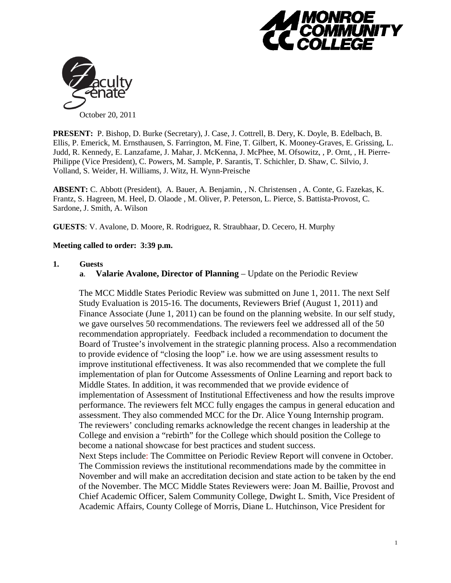



**PRESENT:** P. Bishop, D. Burke (Secretary), J. Case, J. Cottrell, B. Dery, K. Doyle, B. Edelbach, B. Ellis, P. Emerick, M. Ernsthausen, S. Farrington, M. Fine, T. Gilbert, K. Mooney-Graves, E. Grissing, L. Judd, R. Kennedy, E. Lanzafame, J. Mahar, J. McKenna, J. McPhee, M. Ofsowitz, , P. Ornt, , H. Pierre-Philippe (Vice President), C. Powers, M. Sample, P. Sarantis, T. Schichler, D. Shaw, C. Silvio, J. Volland, S. Weider, H. Williams, J. Witz, H. Wynn-Preische

**ABSENT:** C. Abbott (President), A. Bauer, A. Benjamin, , N. Christensen , A. Conte, G. Fazekas, K. Frantz, S. Hagreen, M. Heel, D. Olaode , M. Oliver, P. Peterson, L. Pierce, S. Battista-Provost, C. Sardone, J. Smith, A. Wilson

**GUESTS**: V. Avalone, D. Moore, R. Rodriguez, R. Straubhaar, D. Cecero, H. Murphy

# **Meeting called to order: 3:39 p.m.**

# **1. Guests**

**a**. **Valarie Avalone, Director of Planning** – Update on the Periodic Review

The MCC Middle States Periodic Review was submitted on June 1, 2011. The next Self Study Evaluation is 2015-16. The documents, Reviewers Brief (August 1, 2011) and Finance Associate (June 1, 2011) can be found on the planning website. In our self study, we gave ourselves 50 recommendations. The reviewers feel we addressed all of the 50 recommendation appropriately. Feedback included a recommendation to document the Board of Trustee's involvement in the strategic planning process. Also a recommendation to provide evidence of "closing the loop" i.e. how we are using assessment results to improve institutional effectiveness. It was also recommended that we complete the full implementation of plan for Outcome Assessments of Online Learning and report back to Middle States. In addition, it was recommended that we provide evidence of implementation of Assessment of Institutional Effectiveness and how the results improve performance. The reviewers felt MCC fully engages the campus in general education and assessment. They also commended MCC for the Dr. Alice Young Internship program. The reviewers' concluding remarks acknowledge the recent changes in leadership at the College and envision a "rebirth" for the College which should position the College to become a national showcase for best practices and student success.

Next Steps include: The Committee on Periodic Review Report will convene in October. The Commission reviews the institutional recommendations made by the committee in November and will make an accreditation decision and state action to be taken by the end of the November. The MCC Middle States Reviewers were: Joan M. Baillie, Provost and Chief Academic Officer, Salem Community College, Dwight L. Smith, Vice President of Academic Affairs, County College of Morris, Diane L. Hutchinson, Vice President for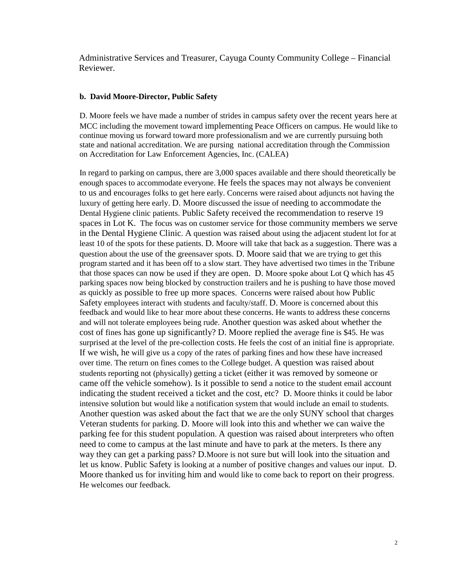Administrative Services and Treasurer, Cayuga County Community College – Financial Reviewer.

### **b. David Moore-Director, Public Safety**

D. Moore feels we have made a number of strides in campus safety over the recent years here at MCC including the movement toward implementing Peace Officers on campus. He would like to continue moving us forward toward more professionalism and we are currently pursuing both state and national accreditation. We are pursing national accreditation through the Commission on Accreditation for Law Enforcement Agencies, Inc. (CALEA)

In regard to parking on campus, there are 3,000 spaces available and there should theoretically be enough spaces to accommodate everyone. He feels the spaces may not always be convenient to us and encourages folks to get here early. Concerns were raised about adjuncts not having the luxury of getting here early. D. Moore discussed the issue of needing to accommodate the Dental Hygiene clinic patients. Public Safety received the recommendation to reserve 19 spaces in Lot K. The focus was on customer service for those community members we serve in the Dental Hygiene Clinic. A question was raised about using the adjacent student lot for at least 10 of the spots for these patients. D. Moore will take that back as a suggestion. There was a question about the use of the greensaver spots. D. Moore said that we are trying to get this program started and it has been off to a slow start. They have advertised two times in the Tribune that those spaces can now be used if they are open. D. Moore spoke about Lot Q which has 45 parking spaces now being blocked by construction trailers and he is pushing to have those moved as quickly as possible to free up more spaces. Concerns were raised about how Public Safety employees interact with students and faculty/staff. D. Moore is concerned about this feedback and would like to hear more about these concerns. He wants to address these concerns and will not tolerate employees being rude. Another question was asked about whether the cost of fines has gone up significantly? D. Moore replied the average fine is \$45. He was surprised at the level of the pre-collection costs. He feels the cost of an initial fine is appropriate. If we wish, he will give us a copy of the rates of parking fines and how these have increased over time. The return on fines comes to the College budget. A question was raised about students reporting not (physically) getting a ticket (either it was removed by someone or came off the vehicle somehow). Is it possible to send a notice to the student email account indicating the student received a ticket and the cost, etc? D. Moore thinks it could be labor intensive solution but would like a notification system that would include an email to students. Another question was asked about the fact that we are the only SUNY school that charges Veteran students for parking. D. Moore will look into this and whether we can waive the parking fee for this student population. A question was raised about interpreters who often need to come to campus at the last minute and have to park at the meters. Is there any way they can get a parking pass? D.Moore is not sure but will look into the situation and let us know. Public Safety is looking at a number of positive changes and values our input. D. Moore thanked us for inviting him and would like to come back to report on their progress. He welcomes our feedback.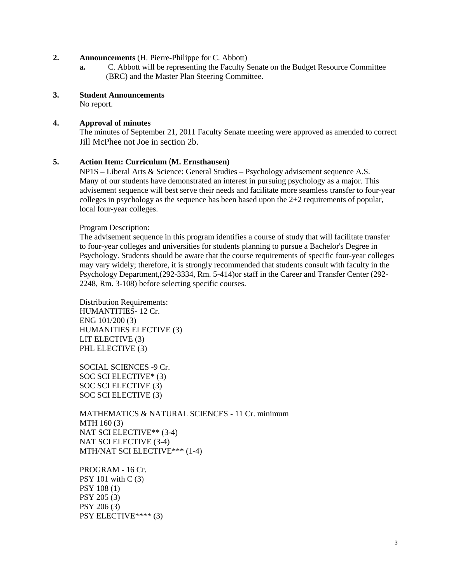### **2. Announcements** (H. Pierre-Philippe for C. Abbott)

- **a.** C. Abbott will be representing the Faculty Senate on the Budget Resource Committee (BRC) and the Master Plan Steering Committee.
- **3. Student Announcements**

No report.

# **4. Approval of minutes**

The minutes of September 21, 2011 Faculty Senate meeting were approved as amended to correct Jill McPhee not Joe in section 2b.

# **5. Action Item: Curriculum** (**M. Ernsthausen)**

NP1S – Liberal Arts & Science: General Studies – Psychology advisement sequence A.S. Many of our students have demonstrated an interest in pursuing psychology as a major. This advisement sequence will best serve their needs and facilitate more seamless transfer to four-year colleges in psychology as the sequence has been based upon the  $2+2$  requirements of popular, local four-year colleges.

### Program Description:

The advisement sequence in this program identifies a course of study that will facilitate transfer to four-year colleges and universities for students planning to pursue a Bachelor's Degree in Psychology. Students should be aware that the course requirements of specific four-year colleges may vary widely; therefore, it is strongly recommended that students consult with faculty in the Psychology Department,(292-3334, Rm. 5-414)or staff in the Career and Transfer Center (292- 2248, Rm. 3-108) before selecting specific courses.

Distribution Requirements: HUMANTITIES- 12 Cr. ENG 101/200 (3) HUMANITIES ELECTIVE (3) LIT ELECTIVE (3) PHL ELECTIVE (3)

SOCIAL SCIENCES -9 Cr. SOC SCI ELECTIVE\* (3) SOC SCI ELECTIVE (3) SOC SCI ELECTIVE (3)

MATHEMATICS & NATURAL SCIENCES - 11 Cr. minimum MTH 160 (3) NAT SCI ELECTIVE\*\* (3-4) NAT SCI ELECTIVE (3-4) MTH/NAT SCI ELECTIVE\*\*\* (1-4)

PROGRAM - 16 Cr. PSY 101 with C (3) PSY 108 (1) PSY 205 (3) PSY 206 (3) PSY ELECTIVE\*\*\*\* (3)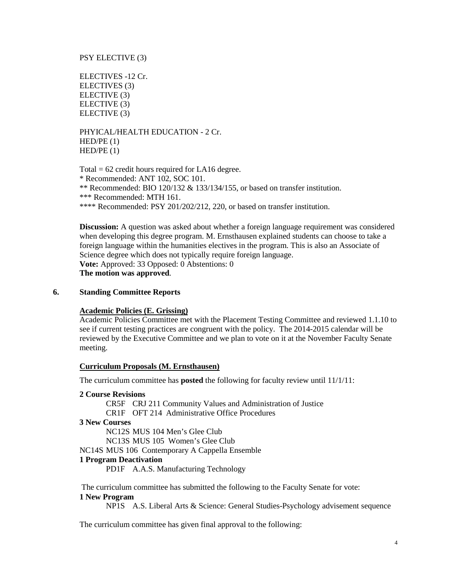### PSY ELECTIVE (3)

ELECTIVES -12 Cr. ELECTIVES (3) ELECTIVE (3) ELECTIVE (3) ELECTIVE (3)

PHYICAL/HEALTH EDUCATION - 2 Cr.  $HED/PE(1)$  $HED/PE(1)$ 

Total  $= 62$  credit hours required for LA16 degree. \* Recommended: ANT 102, SOC 101. \*\* Recommended: BIO 120/132 & 133/134/155, or based on transfer institution. \*\*\* Recommended: MTH 161. \*\*\*\* Recommended: PSY 201/202/212, 220, or based on transfer institution.

**Discussion:** A question was asked about whether a foreign language requirement was considered when developing this degree program. M. Ernsthausen explained students can choose to take a foreign language within the humanities electives in the program. This is also an Associate of Science degree which does not typically require foreign language. **Vote:** Approved: 33 Opposed: 0 Abstentions: 0 **The motion was approved**.

### **6. Standing Committee Reports**

### **Academic Policies (E. Grissing)**

Academic Policies Committee met with the Placement Testing Committee and reviewed 1.1.10 to see if current testing practices are congruent with the policy. The 2014-2015 calendar will be reviewed by the Executive Committee and we plan to vote on it at the November Faculty Senate meeting.

#### **Curriculum Proposals (M. Ernsthausen)**

The curriculum committee has **posted** the following for faculty review until 11/1/11:

#### **2 Course Revisions**

CR5F CRJ 211 Community Values and Administration of Justice CR1F OFT 214 Administrative Office Procedures

**3 New Courses**

NC12S MUS 104 Men's Glee Club NC13S MUS 105 Women's Glee Club

NC14S MUS 106 Contemporary A Cappella Ensemble

### **1 Program Deactivation**

PD1F A.A.S. Manufacturing Technology

The curriculum committee has submitted the following to the Faculty Senate for vote:

### **1 New Program**

NP1S A.S. Liberal Arts & Science: General Studies-Psychology advisement sequence

The curriculum committee has given final approval to the following: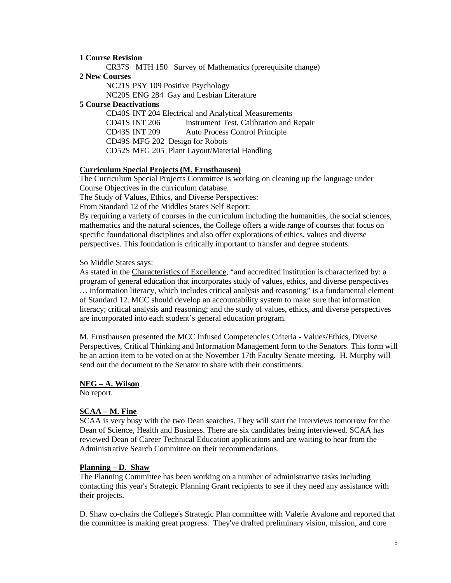#### **1 Course Revision**

CR37S MTH 150 Survey of Mathematics (prerequisite change)

**2 New Courses**

NC21S PSY 109 Positive Psychology

NC20S ENG 284 Gay and Lesbian Literature

#### **5 Course Deactivations**

CD40S INT 204 Electrical and Analytical Measurements CD41S INT 206 Instrument Test, Calibration and Repair CD43S INT 209 Auto Process Control Principle CD49S MFG 202 Design for Robots CD52S MFG 205 Plant Layout/Material Handling

### **Curriculum Special Projects (M. Ernsthausen)**

The Curriculum Special Projects Committee is working on cleaning up the language under Course Objectives in the curriculum database.

The Study of Values, Ethics, and Diverse Perspectives:

From Standard 12 of the Middles States Self Report:

By requiring a variety of courses in the curriculum including the humanities, the social sciences, mathematics and the natural sciences, the College offers a wide range of courses that focus on specific foundational disciplines and also offer explorations of ethics, values and diverse perspectives. This foundation is critically important to transfer and degree students.

So Middle States says:

As stated in the Characteristics of Excellence, "and accredited institution is characterized by: a program of general education that incorporates study of values, ethics, and diverse perspectives … information literacy, which includes critical analysis and reasoning" is a fundamental element of Standard 12. MCC should develop an accountability system to make sure that information literacy; critical analysis and reasoning; and the study of values, ethics, and diverse perspectives are incorporated into each student's general education program.

M. Ernsthausen presented the MCC Infused Competencies Criteria - Values/Ethics, Diverse Perspectives, Critical Thinking and Information Management form to the Senators. This form will be an action item to be voted on at the November 17th Faculty Senate meeting. H. Murphy will send out the document to the Senator to share with their constituents.

#### **NEG – A. Wilson**

No report.

#### **SCAA – M. Fine**

SCAA is very busy with the two Dean searches. They will start the interviews tomorrow for the Dean of Science, Health and Business. There are six candidates being interviewed. SCAA has reviewed Dean of Career Technical Education applications and are waiting to hear from the Administrative Search Committee on their recommendations.

#### **Planning – D. Shaw**

The Planning Committee has been working on a number of administrative tasks including contacting this year's Strategic Planning Grant recipients to see if they need any assistance with their projects.

D. Shaw co-chairs the College's Strategic Plan committee with Valerie Avalone and reported that the committee is making great progress. They've drafted preliminary vision, mission, and core